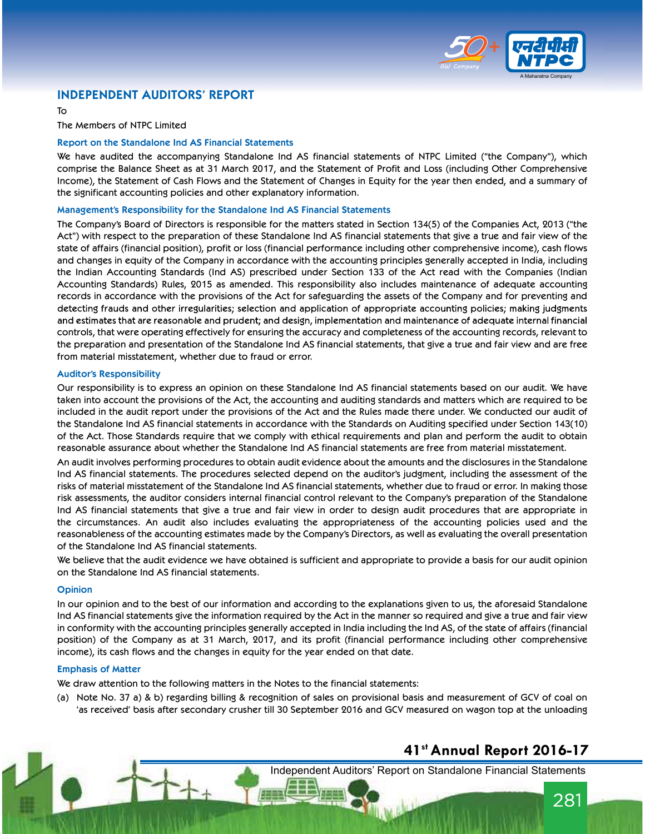

### INDEPENDENT AUDITORS' REPORT

To

The Members of NTPC Limited

### Report on the Standalone Ind AS Financial Statements

We have audited the accompanying Standalone Ind AS financial statements of NTPC Limited ("the Company"), which comprise the Balance Sheet as at 31 March 2017, and the Statement of Profit and Loss (including Other Comprehensive Income), the Statement of Cash Flows and the Statement of Changes in Equity for the year then ended, and a summary of the significant accounting policies and other explanatory information.

### Management's Responsibility for the Standalone Ind AS Financial Statements

The Company's Board of Directors is responsible for the matters stated in Section 134(5) of the Companies Act, 2013 ("the Act") with respect to the preparation of these Standalone Ind AS financial statements that give a true and fair view of the state of affairs (financial position), profit or loss (financial performance including other comprehensive income), cash flows and changes in equity of the Company in accordance with the accounting principles generally accepted in India, including the Indian Accounting Standards (Ind AS) prescribed under Section 133 of the Act read with the Companies (Indian Accounting Standards) Rules, 2015 as amended. This responsibility also includes maintenance of adequate accounting records in accordance with the provisions of the Act for safeguarding the assets of the Company and for preventing and detecting frauds and other irregularities; selection and application of appropriate accounting policies; making judgments and estimates that are reasonable and prudent; and design, implementation and maintenance of adequate internal financial controls, that were operating effectively for ensuring the accuracy and completeness of the accounting records, relevant to the preparation and presentation of the Standalone Ind AS financial statements, that give a true and fair view and are free from material misstatement, whether due to fraud or error.

#### Auditor's Responsibility

Our responsibility is to express an opinion on these Standalone Ind AS financial statements based on our audit. We have taken into account the provisions of the Act, the accounting and auditing standards and matters which are required to be included in the audit report under the provisions of the Act and the Rules made there under. We conducted our audit of the Standalone Ind AS financial statements in accordance with the Standards on Auditing specified under Section 143(10) of the Act. Those Standards require that we comply with ethical requirements and plan and perform the audit to obtain reasonable assurance about whether the Standalone Ind AS financial statements are free from material misstatement.

An audit involves performing procedures to obtain audit evidence about the amounts and the disclosures in the Standalone Ind AS financial statements. The procedures selected depend on the auditor's judgment, including the assessment of the risks of material misstatement of the Standalone Ind AS financial statements, whether due to fraud or error. In making those risk assessments, the auditor considers internal financial control relevant to the Company's preparation of the Standalone Ind AS financial statements that give a true and fair view in order to design audit procedures that are appropriate in the circumstances. An audit also includes evaluating the appropriateness of the accounting policies used and the reasonableness of the accounting estimates made by the Company's Directors, as well as evaluating the overall presentation of the Standalone Ind AS financial statements.

We believe that the audit evidence we have obtained is sufficient and appropriate to provide a basis for our audit opinion on the Standalone Ind AS financial statements.

### **Opinion**

In our opinion and to the best of our information and according to the explanations given to us, the aforesaid Standalone Ind AS financial statements give the information required by the Act in the manner so required and give a true and fair view in conformity with the accounting principles generally accepted in India including the Ind AS, of the state of affairs (financial position) of the Company as at 31 March, 2017, and its profit (financial performance including other comprehensive income), its cash flows and the changes in equity for the year ended on that date.

#### Emphasis of Matter

We draw attention to the following matters in the Notes to the financial statements:

(a) Note No. 37 a) & b) regarding billing & recognition of sales on provisional basis and measurement of GCV of coal on 'as received' basis after secondary crusher till 30 September 2016 and GCV measured on wagon top at the unloading

## 41st Annual Report 2016-17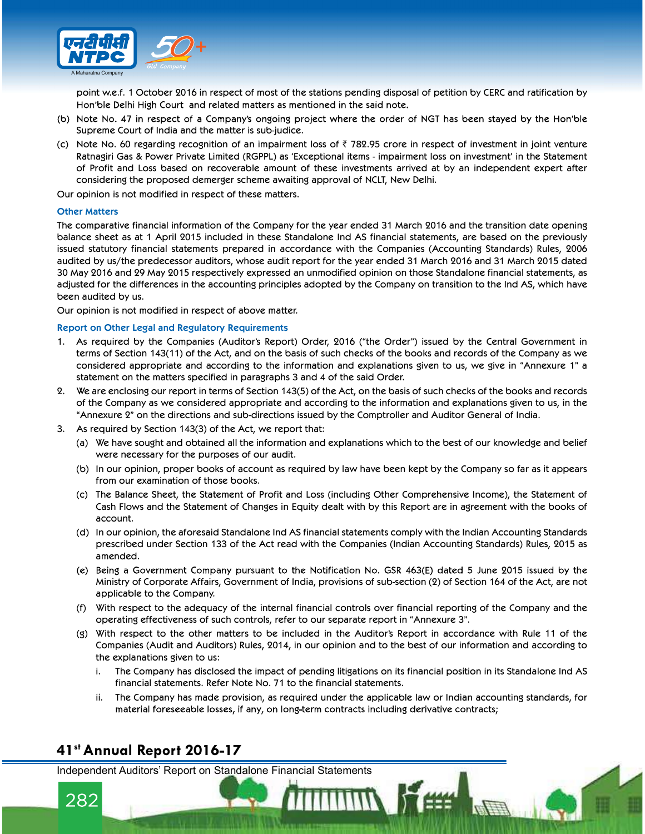

point w.e.f. 1 October 2016 in respect of most of the stations pending disposal of petition by CERC and ratification by Hon'ble Delhi High Court and related matters as mentioned in the said note.

- (b) Note No. 47 in respect of a Company's ongoing project where the order of NGT has been stayed by the Hon'ble Supreme Court of India and the matter is sub-judice.
- (c) Note No. 60 regarding recognition of an impairment loss of  $\bar{z}$  782.95 crore in respect of investment in joint venture Ratnagiri Gas & Power Private Limited (RGPPL) as 'Exceptional items - impairment loss on investment' in the Statement of Profit and Loss based on recoverable amount of these investments arrived at by an independent expert after considering the proposed demerger scheme awaiting approval of NCLT, New Delhi.

Our opinion is not modified in respect of these matters.

### Other Matters

The comparative financial information of the Company for the year ended 31 March 2016 and the transition date opening balance sheet as at 1 April 2015 included in these Standalone Ind AS financial statements, are based on the previously issued statutory financial statements prepared in accordance with the Companies (Accounting Standards) Rules, 2006 audited by us/the predecessor auditors, whose audit report for the year ended 31 March 2016 and 31 March 2015 dated 30 May 2016 and 29 May 2015 respectively expressed an unmodified opinion on those Standalone financial statements, as adjusted for the differences in the accounting principles adopted by the Company on transition to the Ind AS, which have been audited by us.

Our opinion is not modified in respect of above matter.

#### Report on Other Legal and Regulatory Requirements

- 1. As required by the Companies (Auditor's Report) Order, 2016 ("the Order") issued by the Central Government in terms of Section 143(11) of the Act, and on the basis of such checks of the books and records of the Company as we considered appropriate and according to the information and explanations given to us, we give in "Annexure 1" a statement on the matters specified in paragraphs 3 and 4 of the said Order.
- 2. We are enclosing our report in terms of Section 143(5) of the Act, on the basis of such checks of the books and records of the Company as we considered appropriate and according to the information and explanations given to us, in the "Annexure 2" on the directions and sub-directions issued by the Comptroller and Auditor General of India.
- 3. As required by Section 143(3) of the Act, we report that:
	- (a) We have sought and obtained all the information and explanations which to the best of our knowledge and belief were necessary for the purposes of our audit.
	- (b) In our opinion, proper books of account as required by law have been kept by the Company so far as it appears from our examination of those books.
	- (c) The Balance Sheet, the Statement of Profit and Loss (including Other Comprehensive Income), the Statement of Cash Flows and the Statement of Changes in Equity dealt with by this Report are in agreement with the books of account.
	- (d) In our opinion, the aforesaid Standalone Ind AS financial statements comply with the Indian Accounting Standards prescribed under Section 133 of the Act read with the Companies (Indian Accounting Standards) Rules, 2015 as amended.
	- (e) Being a Government Company pursuant to the Notification No. GSR 463(E) dated 5 June 2015 issued by the Ministry of Corporate Affairs, Government of India, provisions of sub-section (2) of Section 164 of the Act, are not applicable to the Company.
	- (f) With respect to the adequacy of the internal financial controls over financial reporting of the Company and the operating effectiveness of such controls, refer to our separate report in "Annexure 3".
	- (g) With respect to the other matters to be included in the Auditor's Report in accordance with Rule 11 of the Companies (Audit and Auditors) Rules, 2014, in our opinion and to the best of our information and according to the explanations given to us:
		- i. The Company has disclosed the impact of pending litigations on its financial position in its Standalone Ind AS financial statements. Refer Note No. 71 to the financial statements.
		- ii. The Company has made provision, as required under the applicable law or Indian accounting standards, for material foreseeable losses, if any, on long-term contracts including derivative contracts;

**TITTING** Re

### 41st Annual Report 2016-17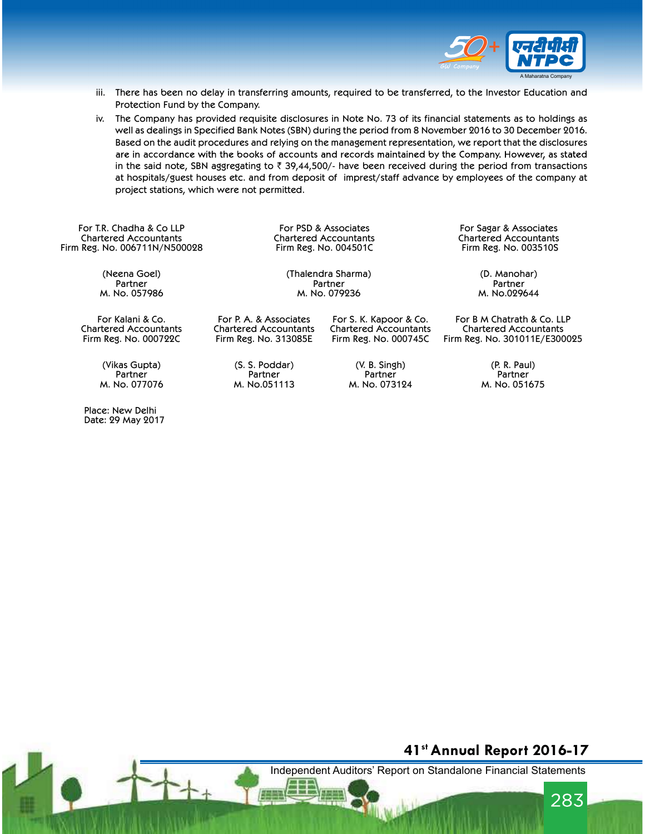

- iii. There has been no delay in transferring amounts, required to be transferred, to the Investor Education and Protection Fund by the Company.
- iv. The Company has provided requisite disclosures in Note No. 73 of its financial statements as to holdings as well as dealings in Specified Bank Notes (SBN) during the period from 8 November 2016 to 30 December 2016. Based on the audit procedures and relying on the management representation, we report that the disclosures are in accordance with the books of accounts and records maintained by the Company. However, as stated in the said note, SBN aggregating to  $\bar{\tau}$  39,44,500/- have been received during the period from transactions at hospitals/guest houses etc. and from deposit of imprest/staff advance by employees of the company at project stations, which were not permitted.

For T.R. Chadha & Co LLP Chartered Accountants Firm Reg. No. 006711N/N500028

Firm Reg. No. 004501C

For PSD & Associates For Sagar & Associates Chartered Accountants<br>Firm Reg. No. 003510S

(Neena Goel) Partner M. No. 057986

For Kalani & Co. Chartered Accountants Firm Reg. No. 000722C

> (Vikas Gupta) Partner M. No. 077076

 Place: New Delhi Date: 29 May 2017 Firm Reg. No. 313085E (S. S. Poddar) Partner

M. No.051113

For P. A. & Associates Chartered Accountants

> (V. B. Singh) Partner M. No. 073124

For S. K. Kapoor & Co. Chartered Accountants Firm Reg. No. 000745C

(Thalendra Sharma) (D. Manohar) **Partner Partner Partner Partner Partner** M. No. 079236 M. No.029644

> For B M Chatrath & Co. LLP Chartered Accountants Firm Reg. No. 301011E/E300025

> > (P. R. Paul) Partner M. No. 051675

### 41st Annual Report 2016-17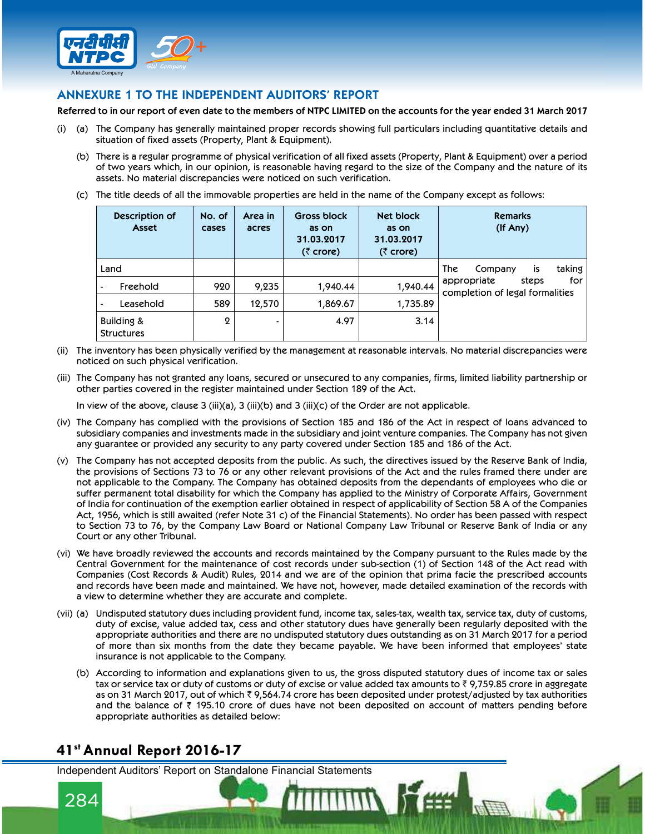

### ANNEXURE 1 TO THE INDEPENDENT AUDITORS' REPORT

Referred to in our report of even date to the members of NTPC LIMITED on the accounts for the year ended 31 March 2017

- (i) (a) The Company has generally maintained proper records showing full particulars including quantitative details and situation of fixed assets (Property, Plant & Equipment).
	- (b) There is a regular programme of physical verification of all fixed assets (Property, Plant & Equipment) over a period of two years which, in our opinion, is reasonable having regard to the size of the Company and the nature of its assets. No material discrepancies were noticed on such verification.
	- (c) The title deeds of all the immovable properties are held in the name of the Company except as follows:

| assets. No material discrepancies were noticed on such verification. |                 |                  |                                                                     |                                                        | There is a regular programme of physical verification of all fixed assets (Property, Plant & Equipment) over a period<br>of two years which, in our opinion, is reasonable having regard to the size of the Company and the nature of its<br>The title deeds of all the immovable properties are held in the name of the Company except as follows: |  |  |
|----------------------------------------------------------------------|-----------------|------------------|---------------------------------------------------------------------|--------------------------------------------------------|-----------------------------------------------------------------------------------------------------------------------------------------------------------------------------------------------------------------------------------------------------------------------------------------------------------------------------------------------------|--|--|
| Description of<br>Asset                                              | No. of<br>cases | Area in<br>acres | <b>Gross block</b><br>as on<br>31.03.2017<br>( $\bar{\zeta}$ crore) | Net block<br>as on<br>31.03.2017<br>$(5 \text{ core})$ | <b>Remarks</b><br>$($ If Any $)$                                                                                                                                                                                                                                                                                                                    |  |  |
| Land                                                                 |                 |                  |                                                                     |                                                        | The<br>taking<br>is<br>Company                                                                                                                                                                                                                                                                                                                      |  |  |
| Freehold                                                             | 920             | 9,235            | 1,940.44                                                            | 1,940.44                                               | for<br>appropriate<br>steps<br>completion of legal formalities                                                                                                                                                                                                                                                                                      |  |  |
| Leasehold                                                            | 589             | 12,570           | 1,869.67                                                            | 1,735.89                                               |                                                                                                                                                                                                                                                                                                                                                     |  |  |
| Building &<br><b>Structures</b>                                      | $\mathbf 2$     |                  | 4.97                                                                | 3.14                                                   |                                                                                                                                                                                                                                                                                                                                                     |  |  |

- (ii) The inventory has been physically verified by the management at reasonable intervals. No material discrepancies were noticed on such physical verification.
- (iii) The Company has not granted any loans, secured or unsecured to any companies, firms, limited liability partnership or other parties covered in the register maintained under Section 189 of the Act.

In view of the above, clause  $3$  (iii)(a),  $3$  (iii)(b) and  $3$  (iii)(c) of the Order are not applicable.

- (iv) The Company has complied with the provisions of Section 185 and 186 of the Act in respect of loans advanced to subsidiary companies and investments made in the subsidiary and joint venture companies. The Company has not given any guarantee or provided any security to any party covered under Section 185 and 186 of the Act.
- (v) The Company has not accepted deposits from the public. As such, the directives issued by the Reserve Bank of India, the provisions of Sections 73 to 76 or any other relevant provisions of the Act and the rules framed there under are not applicable to the Company. The Company has obtained deposits from the dependants of employees who die or suffer permanent total disability for which the Company has applied to the Ministry of Corporate Affairs, Government of India for continuation of the exemption earlier obtained in respect of applicability of Section 58 A of the Companies Act, 1956, which is still awaited (refer Note 31 c) of the Financial Statements). No order has been passed with respect to Section 73 to 76, by the Company Law Board or National Company Law Tribunal or Reserve Bank of India or any Court or any other Tribunal.
- (vi) We have broadly reviewed the accounts and records maintained by the Company pursuant to the Rules made by the Central Government for the maintenance of cost records under sub-section (1) of Section 148 of the Act read with Companies (Cost Records & Audit) Rules, 2014 and we are of the opinion that prima facie the prescribed accounts and records have been made and maintained. We have not, however, made detailed examination of the records with a view to determine whether they are accurate and complete.
- (vii) (a) Undisputed statutory dues including provident fund, income tax, sales-tax, wealth tax, service tax, duty of customs, duty of excise, value added tax, cess and other statutory dues have generally been regularly deposited with the appropriate authorities and there are no undisputed statutory dues outstanding as on 31 March 2017 for a period of more than six months from the date they became payable. We have been informed that employees' state insurance is not applicable to the Company.
	- (b) According to information and explanations given to us, the gross disputed statutory dues of income tax or sales tax or service tax or duty of customs or duty of excise or value added tax amounts to ₹ 9,759.85 crore in aggregate as on 31 March 2017, out of which  $\bar{\tau}$  9,564.74 crore has been deposited under protest/adjusted by tax authorities and the balance of  $\bar{\tau}$  195.10 crore of dues have not been deposited on account of matters pending before appropriate authorities as detailed below:

# 41st Annual Report 2016-17

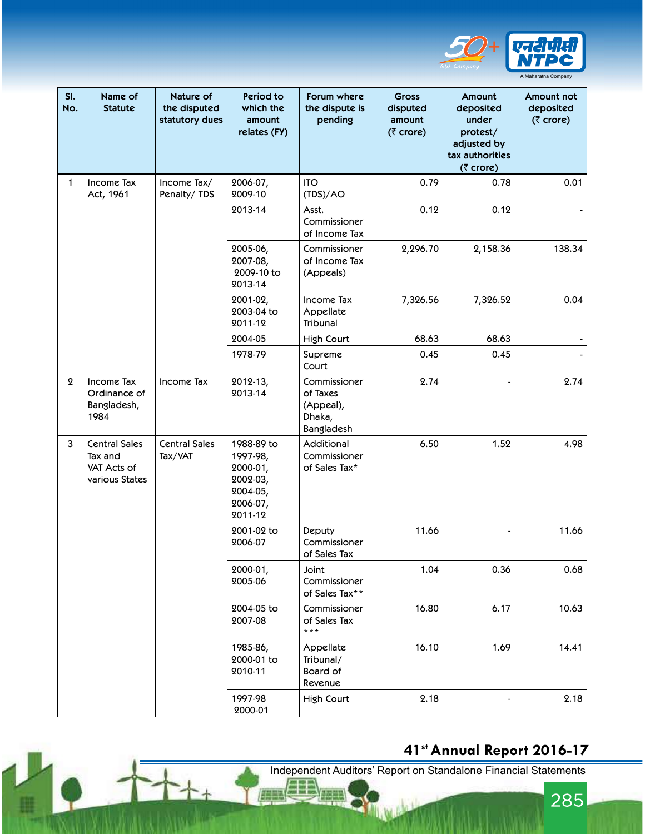

|                  |                                                                                                     |                                               |                                                                                   |                                                               |                                                   |                                                                                         | <b>NTPC</b>                                                 |
|------------------|-----------------------------------------------------------------------------------------------------|-----------------------------------------------|-----------------------------------------------------------------------------------|---------------------------------------------------------------|---------------------------------------------------|-----------------------------------------------------------------------------------------|-------------------------------------------------------------|
| SI.<br>No.       | Name of<br><b>Statute</b>                                                                           | Nature of<br>the disputed<br>statutory dues   | Period to<br>which the<br>amount<br>relates (FY)                                  | Forum where<br>the dispute is<br>pending                      | <b>Gross</b><br>disputed<br>amount<br>$(5$ crore) | Amount<br>deposited<br>under<br>protest/<br>adjusted by<br>tax authorities<br>(₹ crore) | A Maharatna Company<br>Amount not<br>deposited<br>(₹ crore) |
| $\mathbf 1$      | Income Tax                                                                                          | Income Tax/                                   | 2006-07,<br>2009-10                                                               | <b>ITO</b><br>(TDS)/AO                                        | 0.79                                              | 0.78                                                                                    | 0.01                                                        |
|                  | Act, 1961<br>Penalty/TDS                                                                            |                                               | 2013-14                                                                           | Asst.<br>Commissioner<br>of Income Tax                        | 0.12                                              | 0.12                                                                                    |                                                             |
|                  |                                                                                                     | 2005-06,<br>2007-08,<br>2009-10 to<br>2013-14 | Commissioner<br>of Income Tax<br>(Appeals)                                        | 2,296.70                                                      | 2,158.36                                          | 138.34                                                                                  |                                                             |
|                  |                                                                                                     |                                               | 2001-02,<br>2003-04 to<br>2011-12                                                 | Income Tax<br>Appellate<br>Tribunal                           | 7,326.56                                          | 7,326.52                                                                                | 0.04                                                        |
|                  |                                                                                                     |                                               | 2004-05                                                                           | High Court                                                    | 68.63                                             | 68.63                                                                                   |                                                             |
|                  |                                                                                                     |                                               | 1978-79                                                                           | Supreme<br>Court                                              | 0.45                                              | 0.45                                                                                    |                                                             |
| $\boldsymbol{2}$ | Income Tax<br>Ordinance of<br>Bangladesh,<br>1984                                                   | Income Tax                                    | 2012-13,<br>2013-14                                                               | Commissioner<br>of Taxes<br>(Appeal),<br>Dhaka,<br>Bangladesh | 2.74                                              |                                                                                         | 2.74                                                        |
| 3                | <b>Central Sales</b><br><b>Central Sales</b><br>Tax and<br>Tax/VAT<br>VAT Acts of<br>various States |                                               | 1988-89 to<br>1997-98,<br>2000-01,<br>2002-03,<br>2004-05,<br>2006-07,<br>2011-12 | Additional<br>Commissioner<br>of Sales Tax*                   | 6.50                                              | 1.52                                                                                    | 4.98                                                        |
|                  |                                                                                                     |                                               | 2001-02 to<br>2006-07                                                             | Deputy<br>Commissioner<br>of Sales Tax                        | 11.66                                             |                                                                                         | 11.66                                                       |
|                  |                                                                                                     |                                               | 2000-01,<br>2005-06                                                               | Joint<br>Commissioner<br>of Sales Tax**                       | 1.04                                              | 0.36                                                                                    | 0.68                                                        |
|                  |                                                                                                     | 2004-05 to<br>2007-08                         | Commissioner<br>of Sales Tax<br>$***$                                             | 16.80                                                         | 6.17                                              | 10.63                                                                                   |                                                             |
|                  |                                                                                                     | 1985-86,<br>2000-01 to<br>2010-11             | Appellate<br>Tribunal/<br>Board of<br>Revenue                                     | 16.10                                                         | 1.69                                              | 14.41                                                                                   |                                                             |
|                  |                                                                                                     |                                               | 1997-98<br>2000-01                                                                | High Court                                                    | 2.18                                              |                                                                                         | 2.18                                                        |

# 41st Annual Report 2016-17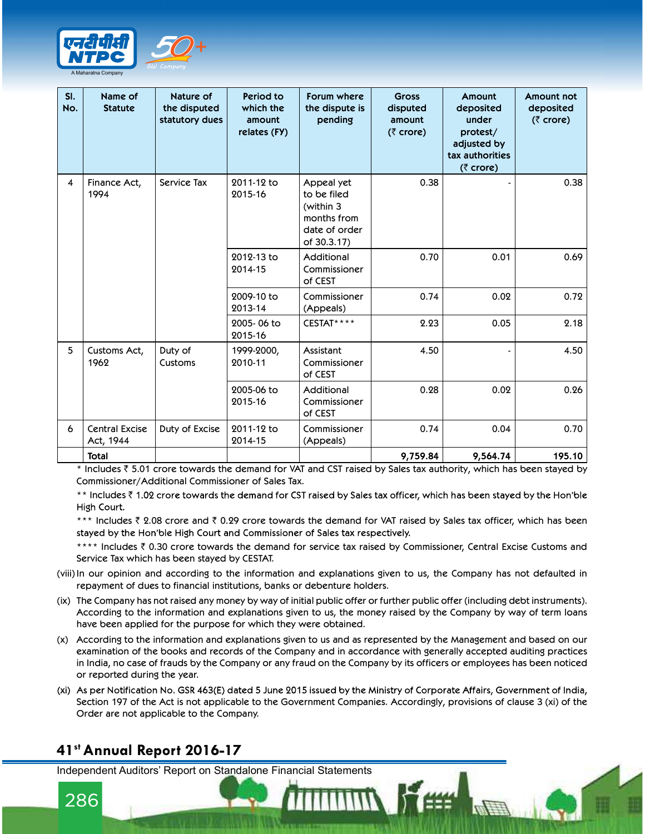

| SI.<br>No.              | Name of<br><b>Statute</b>          | Nature of<br>the disputed<br>statutory dues | Period to<br>which the<br>amount<br>relates (FY) | Forum where<br>the dispute is<br>pending                                              | <b>Gross</b><br>disputed<br>amount<br>$(5$ crore) | Amount<br>deposited<br>under<br>protest/<br>adjusted by<br>tax authorities<br>(₹ crore) | Amount not<br>deposited<br>$(5$ crore) |
|-------------------------|------------------------------------|---------------------------------------------|--------------------------------------------------|---------------------------------------------------------------------------------------|---------------------------------------------------|-----------------------------------------------------------------------------------------|----------------------------------------|
| $\overline{\mathbf{4}}$ | Finance Act,<br>1994               | Service Tax                                 | 2011-12 to<br>2015-16                            | Appeal yet<br>to be filed<br>(within 3<br>months from<br>date of order<br>of 30.3.17) | 0.38                                              |                                                                                         | 0.38                                   |
|                         |                                    |                                             | 2012-13 to<br>2014-15                            | Additional<br>Commissioner<br>of CEST                                                 | 0.70                                              | 0.01                                                                                    | 0.69                                   |
|                         |                                    |                                             | 2009-10 to<br>2013-14                            | Commissioner<br>(Appeals)                                                             | 0.74                                              | 0.02                                                                                    | 0.72                                   |
|                         |                                    |                                             | 2005-06 to<br>2015-16                            | CESTAT****                                                                            | 2.23                                              | 0.05                                                                                    | 2.18                                   |
|                         | Customs Act,<br>1962               | Duty of<br>Customs                          | 1999-2000,<br>2010-11                            | Assistant<br>Commissioner<br>of CEST                                                  | 4.50                                              |                                                                                         | 4.50                                   |
|                         |                                    |                                             | 2005-06 to<br>2015-16                            | Additional<br>Commissioner<br>of CEST                                                 | 0.28                                              | 0.02                                                                                    | 0.26                                   |
| 6                       | <b>Central Excise</b><br>Act, 1944 | Duty of Excise                              | 2011-12 to<br>2014-15                            | Commissioner<br>(Appeals)                                                             | 0.74                                              | 0.04                                                                                    | 0.70                                   |
|                         | <b>Total</b>                       |                                             |                                                  |                                                                                       | 9,759.84                                          | 9,564.74                                                                                | 195.10                                 |

\*\* Includes ₹1.02 crore towards the demand for CST raised by Sales tax officer, which has been stayed by the Hon'ble High Court.

\*\*\* Includes  $\bar{z}$  2.08 crore and  $\bar{z}$  0.29 crore towards the demand for VAT raised by Sales tax officer, which has been stayed by the Hon'ble High Court and Commissioner of Sales tax respectively.

\*\*\*\* Includes ₹ 0.30 crore towards the demand for service tax raised by Commissioner, Central Excise Customs and Service Tax which has been stayed by CESTAT.

- (viii) In our opinion and according to the information and explanations given to us, the Company has not defaulted in repayment of dues to financial institutions, banks or debenture holders.
- (ix) The Company has not raised any money by way of initial public offer or further public offer (including debt instruments). According to the information and explanations given to us, the money raised by the Company by way of term loans have been applied for the purpose for which they were obtained.
- (x) According to the information and explanations given to us and as represented by the Management and based on our examination of the books and records of the Company and in accordance with generally accepted auditing practices in India, no case of frauds by the Company or any fraud on the Company by its officers or employees has been noticed or reported during the year.
- (xi) As per Notification No. GSR 463(E) dated 5 June 2015 issued by the Ministry of Corporate Affairs, Government of India, Section 197 of the Act is not applicable to the Government Companies. Accordingly, provisions of clause 3 (xi) of the Order are not applicable to the Company.

# 41st Annual Report 2016-17

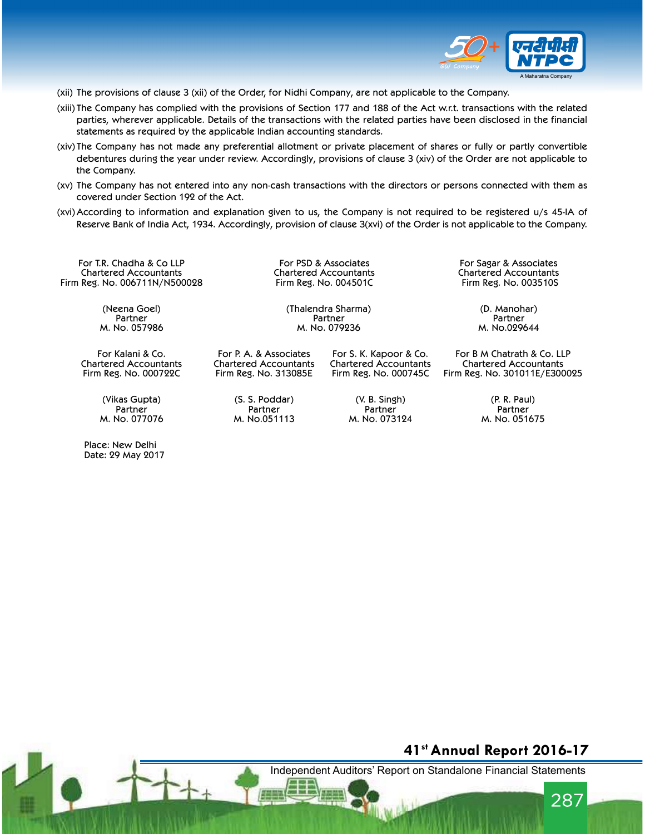

- (xii) The provisions of clause 3 (xii) of the Order, for Nidhi Company, are not applicable to the Company.
- (xiii) The Company has complied with the provisions of Section 177 and 188 of the Act w.r.t. transactions with the related parties, wherever applicable. Details of the transactions with the related parties have been disclosed in the financial statements as required by the applicable Indian accounting standards.
- (xiv) The Company has not made any preferential allotment or private placement of shares or fully or partly convertible debentures during the year under review. Accordingly, provisions of clause 3 (xiv) of the Order are not applicable to the Company.
- (xv) The Company has not entered into any non-cash transactions with the directors or persons connected with them as covered under Section 192 of the Act.
- (xvi) According to information and explanation given to us, the Company is not required to be registered u/s 45-IA of Reserve Bank of India Act, 1934. Accordingly, provision of clause 3(xvi) of the Order is not applicable to the Company.

For T.R. Chadha & Co LLP Chartered Accountants Firm Reg. No. 006711N/N500028

> (Neena Goel) Partner M. No. 057986

For Kalani & Co. Chartered Accountants Firm Reg. No. 000722C

> (Vikas Gupta) Partner M. No. 077076

 Place: New Delhi Date: 29 May 2017 For PSD & Associates For Sagar & Associates<br>Chartered Accountants For Schartered Accountants Firm Reg. No. 004501C Firm Reg. No. 003510S

(Thalendra Sharma) (D. Manohar) **Partner Partner Partner Partner Partner** M. No. 079236 M. No.029644

For P. A. & Associates Chartered Accountants Firm Reg. No. 313085E

> (S. S. Poddar) Partner M. No.051113

For S. K. Kapoor & Co. Chartered Accountants Firm Reg. No. 000745C

> (V. B. Singh) Partner M. No. 073124

Chartered Accountants Chartered Accountants

For B M Chatrath & Co. LLP Chartered Accountants Firm Reg. No. 301011E/E300025

> (P. R. Paul) Partner M. No. 051675

### 41st Annual Report 2016-17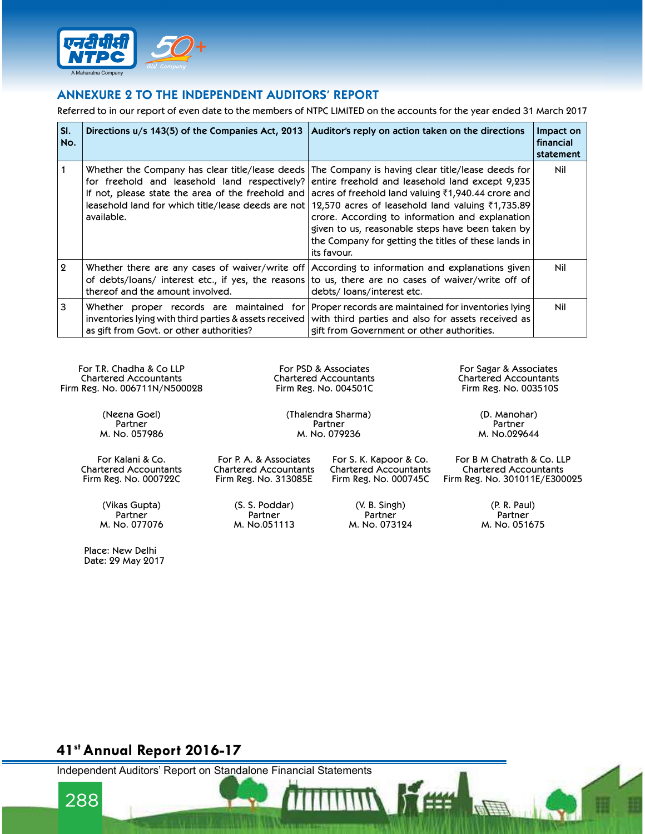

### ANNEXURE 2 TO THE INDEPENDENT AUDITORS' REPORT

|                  | lustalikii<br>Compani<br>A Maharatna Company<br><b>ANNEXURE 2 TO THE INDEPENDENT AUDITORS' REPORT</b>  |                                                                                                                                                                                                                                                                                                                                                                                                                                                                                                                                                                                                               |                                     |
|------------------|--------------------------------------------------------------------------------------------------------|---------------------------------------------------------------------------------------------------------------------------------------------------------------------------------------------------------------------------------------------------------------------------------------------------------------------------------------------------------------------------------------------------------------------------------------------------------------------------------------------------------------------------------------------------------------------------------------------------------------|-------------------------------------|
|                  |                                                                                                        | Referred to in our report of even date to the members of NTPC LIMITED on the accounts for the year ended 31 March 2017                                                                                                                                                                                                                                                                                                                                                                                                                                                                                        |                                     |
| SI.<br>No.       | Directions $u/s$ 143(5) of the Companies Act, 2013   Auditor's reply on action taken on the directions |                                                                                                                                                                                                                                                                                                                                                                                                                                                                                                                                                                                                               | Impact on<br>financial<br>statement |
| 1                | available.                                                                                             | Whether the Company has clear title/lease deeds The Company is having clear title/lease deeds for<br>for freehold and leasehold land respectively? entire freehold and leasehold land except 9,235<br>If not, please state the area of the freehold and acres of freehold land valuing $\bar{\tau}$ 1,940.44 crore and<br>leasehold land for which title/lease deeds are not   12,570 acres of leasehold land valuing ₹1,735.89<br>crore. According to information and explanation<br>given to us, reasonable steps have been taken by<br>the Company for getting the titles of these lands in<br>its favour. | Nil                                 |
| $\boldsymbol{2}$ | thereof and the amount involved.                                                                       | Whether there are any cases of waiver/write off According to information and explanations given<br>of debts/loans/ interest etc., if yes, the reasons to us, there are no cases of waiver/write off of<br>debts/loans/interest etc.                                                                                                                                                                                                                                                                                                                                                                           | Nil                                 |
| 3                | as gift from Govt. or other authorities?                                                               | Whether proper records are maintained for Proper records are maintained for inventories lying<br>inventories lying with third parties & assets received with third parties and also for assets received as<br>gift from Government or other authorities.                                                                                                                                                                                                                                                                                                                                                      | Nil                                 |

For T.R. Chadha & Co LLP Chartered Accountants Firm Reg. No. 006711N/N500028

> (Neena Goel) Partner M. No. 057986

For Kalani & Co. Chartered Accountants Firm Reg. No. 000722C

> (Vikas Gupta) **Partner** M. No. 077076

Place: New Delhi

Date: 29 May 2017

For PSD & Associates For Sagar & Associates<br>Chartered Accountants For Sagar & Accountants Chartered Accountants Chartered Accountants Firm Reg. No. 004501C Firm Reg. No. 003510S

(Thalendra Sharma) (D. Manohar) Partner Partner Partner Partner Partner Partner Partner Partner Partner Partner Partner Partner Partner Partner M. No. 079236 M. No.029644

For P. A. & Associates Chartered Accountants Firm Reg. No. 313085E

For S. K. Kapoor & Co. Chartered Accountants Firm Reg. No. 000745C

Chartered Accountants Firm Reg. No. 301011E/E300025

(S. S. Poddar) **Partner** M. No.051113

(V. B. Singh) **Partner** M. No. 073124

(P. R. Paul) Partner M. No. 051675

For B M Chatrath & Co. LLP

# 41st Annual Report 2016-17

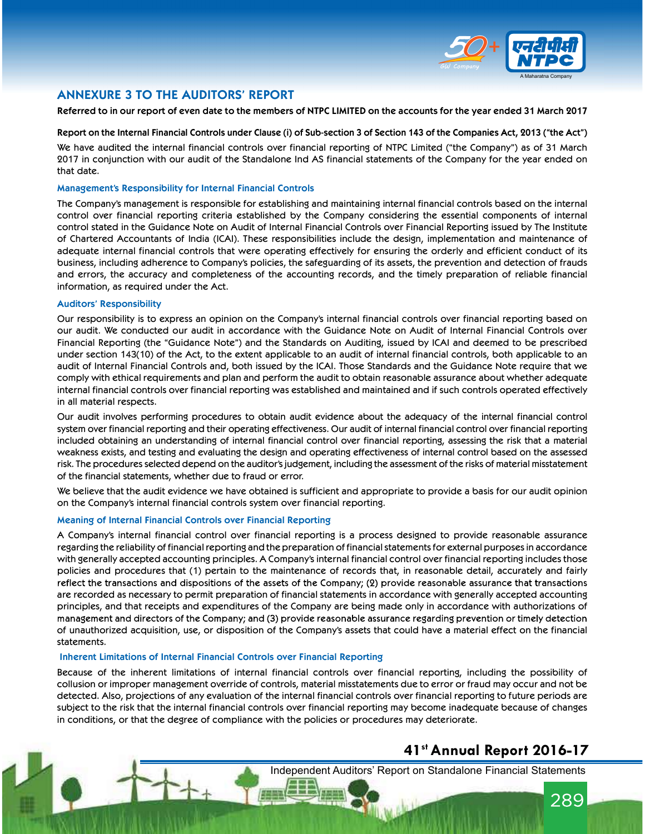

### ANNEXURE 3 TO THE AUDITORS' REPORT

### Referred to in our report of even date to the members of NTPC LIMITED on the accounts for the year ended 31 March 2017

### Report on the Internal Financial Controls under Clause (i) of Sub-section 3 of Section 143 of the Companies Act, 2013 ("the Act")

We have audited the internal financial controls over financial reporting of NTPC Limited ("the Company") as of 31 March 2017 in conjunction with our audit of the Standalone Ind AS financial statements of the Company for the year ended on that date.

#### Management's Responsibility for Internal Financial Controls

The Company's management is responsible for establishing and maintaining internal financial controls based on the internal control over financial reporting criteria established by the Company considering the essential components of internal control stated in the Guidance Note on Audit of Internal Financial Controls over Financial Reporting issued by The Institute of Chartered Accountants of India (ICAI). These responsibilities include the design, implementation and maintenance of adequate internal financial controls that were operating effectively for ensuring the orderly and efficient conduct of its business, including adherence to Company's policies, the safeguarding of its assets, the prevention and detection of frauds and errors, the accuracy and completeness of the accounting records, and the timely preparation of reliable financial information, as required under the Act.

#### Auditors' Responsibility

Our responsibility is to express an opinion on the Company's internal financial controls over financial reporting based on our audit. We conducted our audit in accordance with the Guidance Note on Audit of Internal Financial Controls over Financial Reporting (the "Guidance Note") and the Standards on Auditing, issued by ICAI and deemed to be prescribed under section 143(10) of the Act, to the extent applicable to an audit of internal financial controls, both applicable to an audit of Internal Financial Controls and, both issued by the ICAI. Those Standards and the Guidance Note require that we comply with ethical requirements and plan and perform the audit to obtain reasonable assurance about whether adequate internal financial controls over financial reporting was established and maintained and if such controls operated effectively in all material respects.

Our audit involves performing procedures to obtain audit evidence about the adequacy of the internal financial control system over financial reporting and their operating effectiveness. Our audit of internal financial control over financial reporting included obtaining an understanding of internal financial control over financial reporting, assessing the risk that a material weakness exists, and testing and evaluating the design and operating effectiveness of internal control based on the assessed risk. The procedures selected depend on the auditor's judgement, including the assessment of the risks of material misstatement of the financial statements, whether due to fraud or error.

We believe that the audit evidence we have obtained is sufficient and appropriate to provide a basis for our audit opinion on the Company's internal financial controls system over financial reporting.

### Meaning of Internal Financial Controls over Financial Reporting

A Company's internal financial control over financial reporting is a process designed to provide reasonable assurance regarding the reliability of financial reporting and the preparation of financial statements for external purposes in accordance with generally accepted accounting principles. A Company's internal financial control over financial reporting includes those policies and procedures that (1) pertain to the maintenance of records that, in reasonable detail, accurately and fairly reflect the transactions and dispositions of the assets of the Company; (2) provide reasonable assurance that transactions are recorded as necessary to permit preparation of financial statements in accordance with generally accepted accounting principles, and that receipts and expenditures of the Company are being made only in accordance with authorizations of management and directors of the Company; and (3) provide reasonable assurance regarding prevention or timely detection of unauthorized acquisition, use, or disposition of the Company's assets that could have a material effect on the financial statements.

#### Inherent Limitations of Internal Financial Controls over Financial Reporting

Because of the inherent limitations of internal financial controls over financial reporting, including the possibility of collusion or improper management override of controls, material misstatements due to error or fraud may occur and not be detected. Also, projections of any evaluation of the internal financial controls over financial reporting to future periods are subject to the risk that the internal financial controls over financial reporting may become inadequate because of changes in conditions, or that the degree of compliance with the policies or procedures may deteriorate.

### 41st Annual Report 2016-17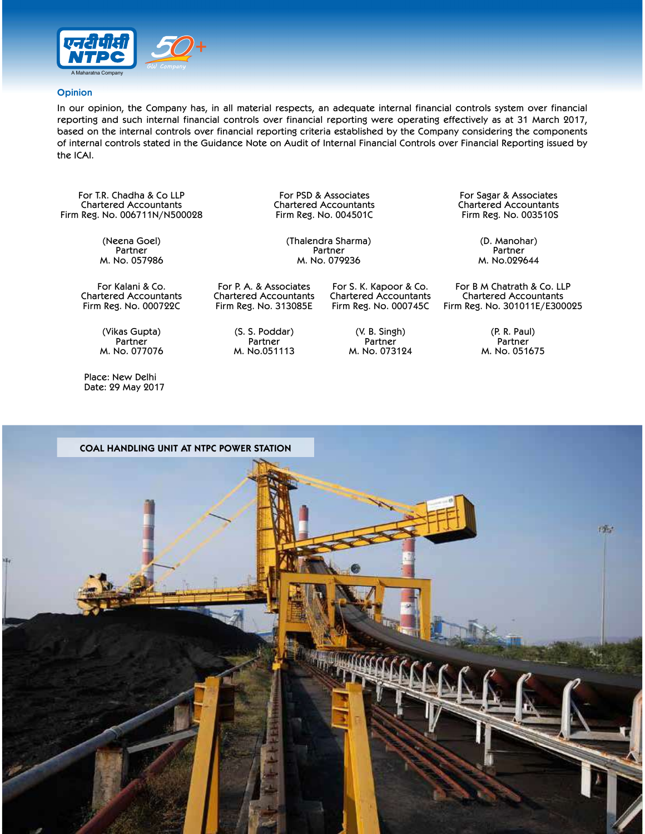

#### **Opinion**

In our opinion, the Company has, in all material respects, an adequate internal financial controls system over financial reporting and such internal financial controls over financial reporting were operating effectively as at 31 March 2017, based on the internal controls over financial reporting criteria established by the Company considering the components of internal controls stated in the Guidance Note on Audit of Internal Financial Controls over Financial Reporting issued by the ICAI.

For T.R. Chadha & Co LLP Chartered Accountants Firm Reg. No. 006711N/N500028

> (Neena Goel) Partner M. No. 057986

For Kalani & Co. Chartered Accountants Firm Reg. No. 000722C

> (Vikas Gupta) Partner M. No. 077076

 Place: New Delhi Date: 29 May 2017  Chartered Accountants Chartered Accountants Firm Reg. No. 004501C

(Thalendra Sharma) (D. Manohar) Partner Partner Partner Partner Partner Partner Partner Partner Partner Partner Partner Partner Partner Partner M. No. 079236 M. No.029644

For P. A. & Associates Chartered Accountants Firm Reg. No. 313085E

> (S. S. Poddar) Partner M. No.051113

Chartered Accountants Firm Reg. No. 000745C

> (V. B. Singh) Partner M. No. 073124

For S. K. Kapoor & Co.

For PSD & Associates For Sagar & Associates<br>For Sagar & Associates For Shartered Accountants

For B M Chatrath & Co. LLP Chartered Accountants Firm Reg. No. 301011E/E300025

> (P. R. Paul) Partner M. No. 051675